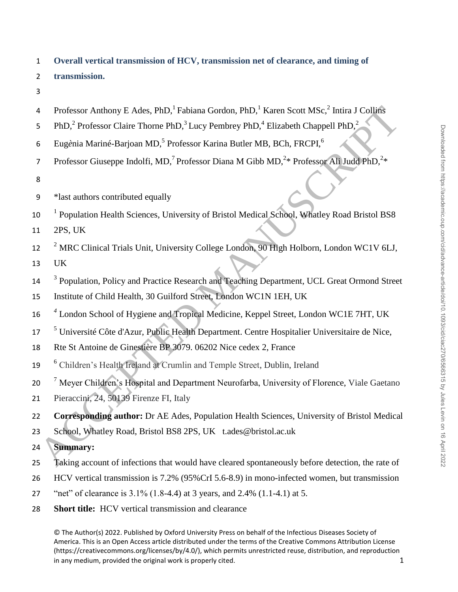1 **Overall vertical transmission of HCV, transmission net of clearance, and timing of**  2 **transmission.**  3 4 Professor Anthony E Ades, PhD,<sup>1</sup> Fabiana Gordon, PhD,<sup>1</sup> Karen Scott MSc,<sup>2</sup> Intira J Collins 5 PhD,<sup>2</sup> Professor Claire Thorne PhD,<sup>3</sup> Lucy Pembrey PhD,<sup>4</sup> Elizabeth Chappell PhD,<sup>2</sup> 6 Eugènia Mariné-Barjoan MD,<sup>5</sup> Professor Karina Butler MB, BCh, FRCPI,<sup>6</sup> 7 Professor Giuseppe Indolfi, MD,<sup>7</sup> Professor Diana M Gibb MD,<sup>2\*</sup> Professor Ali Judd PhD,<sup>2\*</sup> 8 9 \*last authors contributed equally 10 <sup>1</sup> Population Health Sciences, University of Bristol Medical School, Whatley Road Bristol BS8 11 2PS, UK <sup>2</sup> MRC Clinical Trials Unit, University College London, 90 High Holborn, London WC1V 6LJ, 13 UK <sup>3</sup> Population, Policy and Practice Research and Teaching Department, UCL Great Ormond Street 15 Institute of Child Health, 30 Guilford Street, London WC1N 1EH, UK <sup>4</sup> London School of Hygiene and Tropical Medicine, Keppel Street, London WC1E 7HT, UK Professor Anthony E Ades, PhD,<sup>1</sup> Fabina Gordon, PhD,<sup>1</sup> Karen Scott MSc,<sup>2</sup> Intira 1 Collinis<br>
FhD,<sup>2</sup> Professor Claire Thome PhD,<sup>3</sup> Lucy Pembrey PhD,<sup>4</sup> Elizabeth Chappell PhD,<sup>2</sup><br>
Flugènia Mariné-Barjoan MD,<sup>2</sup> Profess

<sup>5</sup> Université Côte d'Azur, Public Health Department. Centre Hospitalier Universitaire de Nice,

- 18 Rte St Antoine de Ginestière BP 3079. 06202 Nice cedex 2, France
- <sup>6</sup> Children's Health Ireland at Crumlin and Temple Street, Dublin, Ireland
- <sup>7</sup> Meyer Children's Hospital and Department Neurofarba, University of Florence, Viale Gaetano
- 21 Pieraccini, 24, 50139 Firenze FI, Italy

22 **Corresponding author:** Dr AE Ades, Population Health Sciences, University of Bristol Medical

23 School, Whatley Road, Bristol BS8 2PS, UK t.ades@bristol.ac.uk

24 **Summary:** 

- 25 Taking account of infections that would have cleared spontaneously before detection, the rate of
- 26 HCV vertical transmission is 7.2% (95%CrI 5.6-8.9) in mono-infected women, but transmission
- 27 "net" of clearance is 3.1% (1.8-4.4) at 3 years, and 2.4% (1.1-4.1) at 5.
- 28 **Short title:** HCV vertical transmission and clearance

© The Author(s) 2022. Published by Oxford University Press on behalf of the Infectious Diseases Society of America. This is an Open Access article distributed under the terms of the Creative Commons Attribution License (https://creativecommons.org/licenses/by/4.0/), which permits unrestricted reuse, distribution, and reproduction in any medium, provided the original work is properly cited.  $1$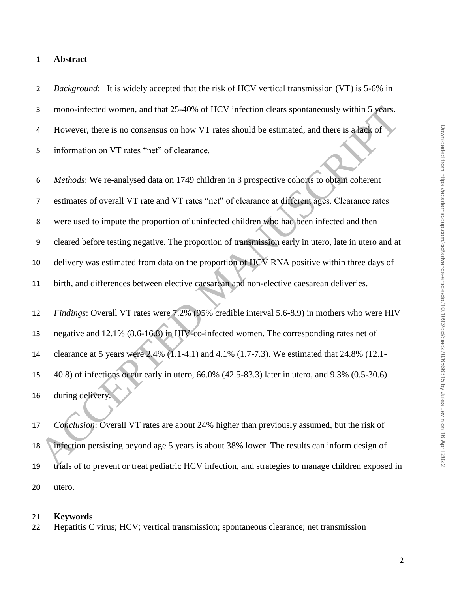### **Abstract**

 *Background*: It is widely accepted that the risk of HCV vertical transmission (VT) is 5-6% in mono-infected women, and that 25-40% of HCV infection clears spontaneously within 5 years. However, there is no consensus on how VT rates should be estimated, and there is a lack of information on VT rates "net" of clearance.

 *Methods*: We re-analysed data on 1749 children in 3 prospective cohorts to obtain coherent estimates of overall VT rate and VT rates "net" of clearance at different ages. Clearance rates were used to impute the proportion of uninfected children who had been infected and then cleared before testing negative. The proportion of transmission early in utero, late in utero and at 10 delivery was estimated from data on the proportion of HCV RNA positive within three days of birth, and differences between elective caesarean and non-elective caesarean deliveries. *Findings*: Overall VT rates were 7.2% (95% credible interval 5.6-8.9) in mothers who were HIV negative and 12.1% (8.6-16.8) in HIV-co-infected women. The corresponding rates net of clearance at 5 years were 2.4% (1.1-4.1) and 4.1% (1.7-7.3). We estimated that 24.8% (12.1- 3 mono-infected women, and that 25-40% of HCV infection clears spontaneously within 5 years.<br>
4 However, there is no consensus on how VT rates should be estimated, and there is a face of<br>
5 information on VT rates "net" o

 40.8) of infections occur early in utero, 66.0% (42.5-83.3) later in utero, and 9.3% (0.5-30.6) during delivery.

 *Conclusion*: Overall VT rates are about 24% higher than previously assumed, but the risk of infection persisting beyond age 5 years is about 38% lower. The results can inform design of trials of to prevent or treat pediatric HCV infection, and strategies to manage children exposed in utero.

#### **Keywords**

Hepatitis C virus; HCV; vertical transmission; spontaneous clearance; net transmission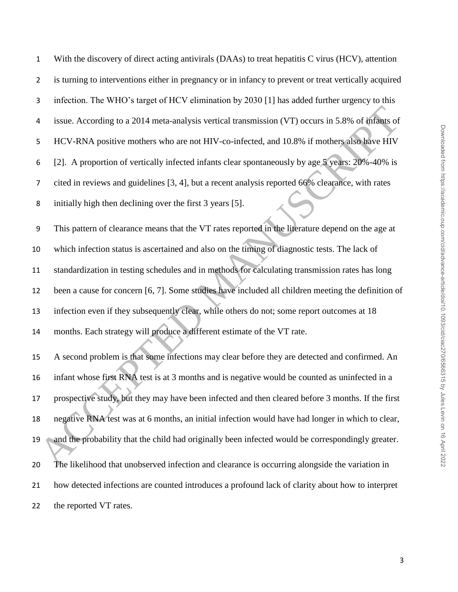| $\mathbf{1}$   | With the discovery of direct acting antivirals (DAAs) to treat hepatitis C virus (HCV), attention     |
|----------------|-------------------------------------------------------------------------------------------------------|
| $\overline{2}$ | is turning to interventions either in pregnancy or in infancy to prevent or treat vertically acquired |
| 3              | infection. The WHO's target of HCV elimination by 2030 [1] has added further urgency to this          |
| 4              | issue. According to a 2014 meta-analysis vertical transmission (VT) occurs in 5.8% of infants of      |
| 5              | HCV-RNA positive mothers who are not HIV-co-infected, and 10.8% if mothers also have HIV              |
| 6              | [2]. A proportion of vertically infected infants clear spontaneously by age 5 years: 20%-40% is       |
| $\overline{7}$ | cited in reviews and guidelines [3, 4], but a recent analysis reported 66% clearance, with rates      |
| 8              | initially high then declining over the first 3 years [5].                                             |
| 9              | This pattern of clearance means that the VT rates reported in the literature depend on the age at     |
| 10             | which infection status is ascertained and also on the timing of diagnostic tests. The lack of         |
| 11             | standardization in testing schedules and in methods for calculating transmission rates has long       |
| 12             | been a cause for concern [6, 7]. Some studies have included all children meeting the definition of    |
| 13             | infection even if they subsequently clear, while others do not; some report outcomes at 18            |
| 14             | months. Each strategy will produce a different estimate of the VT rate.                               |
| 15             | A second problem is that some infections may clear before they are detected and confirmed. An         |
| 16             | infant whose first RNA test is at 3 months and is negative would be counted as uninfected in a        |
| 17             | prospective study, but they may have been infected and then cleared before 3 months. If the first     |
| 18             | negative RNA test was at 6 months, an initial infection would have had longer in which to clear,      |
| 19             | and the probability that the child had originally been infected would be correspondingly greater.     |
| 20             | The likelihood that unobserved infection and clearance is occurring alongside the variation in        |
| 21             | how detected infections are counted introduces a profound lack of clarity about how to interpret      |
| 22             | the reported VT rates.                                                                                |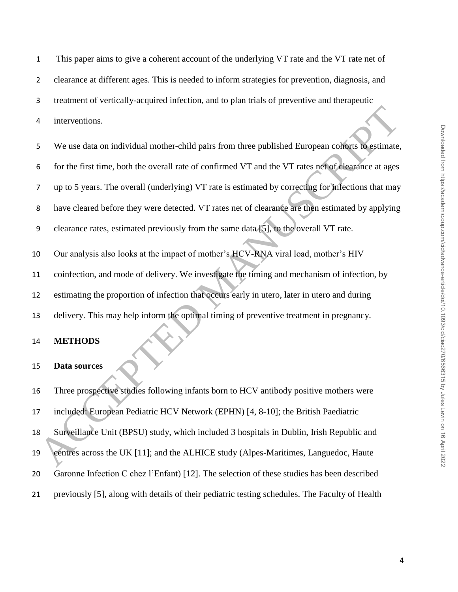This paper aims to give a coherent account of the underlying VT rate and the VT rate net of

clearance at different ages. This is needed to inform strategies for prevention, diagnosis, and

treatment of vertically-acquired infection, and to plan trials of preventive and therapeutic

interventions.

 We use data on individual mother-child pairs from three published European cohorts to estimate, for the first time, both the overall rate of confirmed VT and the VT rates net of clearance at ages up to 5 years. The overall (underlying) VT rate is estimated by correcting for infections that may have cleared before they were detected. VT rates net of clearance are then estimated by applying clearance rates, estimated previously from the same data [5], to the overall VT rate. The metrodions.<br>
We use data on individual mother-child pairs from three published European conorations<br>
Solution and the first time, both the overall rate of confirmed VT and the VT rates net of detarations that may<br>
The

 Our analysis also looks at the impact of mother's HCV-RNA viral load, mother's HIV coinfection, and mode of delivery. We investigate the timing and mechanism of infection, by estimating the proportion of infection that occurs early in utero, later in utero and during delivery. This may help inform the optimal timing of preventive treatment in pregnancy.

#### **METHODS**

#### **Data sources**

 Three prospective studies following infants born to HCV antibody positive mothers were included: European Pediatric HCV Network (EPHN) [4, 8-10]; the British Paediatric Surveillance Unit (BPSU) study, which included 3 hospitals in Dublin, Irish Republic and centres across the UK [11]; and the ALHICE study (Alpes-Maritimes, Languedoc, Haute Garonne Infection C chez l'Enfant) [12]. The selection of these studies has been described previously [5], along with details of their pediatric testing schedules. The Faculty of Health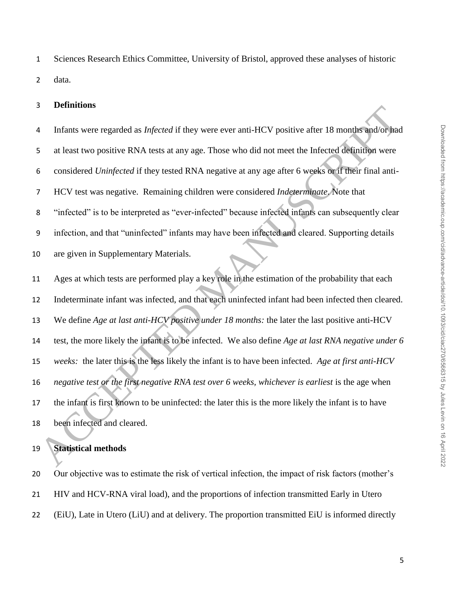Sciences Research Ethics Committee, University of Bristol, approved these analyses of historic data.

#### **Definitions**

 Infants were regarded as *Infected* if they were ever anti-HCV positive after 18 months and/or had at least two positive RNA tests at any age. Those who did not meet the Infected definition were considered *Uninfected* if they tested RNA negative at any age after 6 weeks or if their final anti- HCV test was negative. Remaining children were considered *Indeterminate*. Note that "infected" is to be interpreted as "ever-infected" because infected infants can subsequently clear infection, and that "uninfected" infants may have been infected and cleared. Supporting details are given in Supplementary Materials. Ages at which tests are performed play a key role in the estimation of the probability that each Indeterminate infant was infected, and that each uninfected infant had been infected then cleared. We define *Age at last anti-HCV positive under 18 months:* the later the last positive anti-HCV test, the more likely the infant is to be infected. We also define *Age at last RNA negative under 6 weeks:* the later this is the less likely the infant is to have been infected. *Age at first anti-HCV negative test or the first negative RNA test over 6 weeks, whichever is earliest* is the age when the infant is first known to be uninfected: the later this is the more likely the infant is to have been infected and cleared. Analysis of the state of the state of the state of the state of the state of the state of the state of the state of the state of the state of the state of the state of the state of the state of the state of the state of th

## **Statistical methods**

 Our objective was to estimate the risk of vertical infection, the impact of risk factors (mother's HIV and HCV-RNA viral load), and the proportions of infection transmitted Early in Utero (EiU), Late in Utero (LiU) and at delivery. The proportion transmitted EiU is informed directly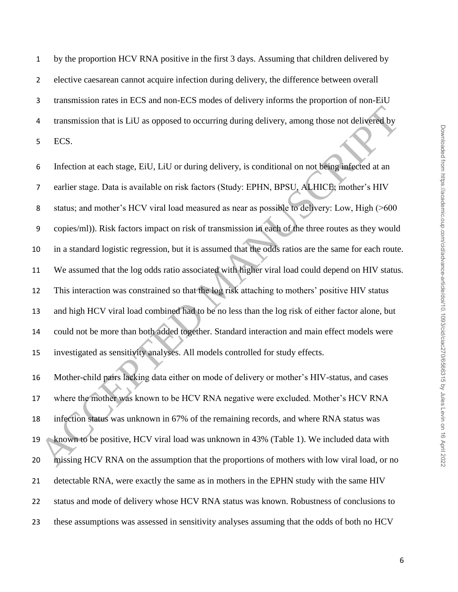by the proportion HCV RNA positive in the first 3 days. Assuming that children delivered by elective caesarean cannot acquire infection during delivery, the difference between overall transmission rates in ECS and non-ECS modes of delivery informs the proportion of non-EiU transmission that is LiU as opposed to occurring during delivery, among those not delivered by ECS.

 Infection at each stage, EiU, LiU or during delivery, is conditional on not being infected at an earlier stage. Data is available on risk factors (Study: EPHN, BPSU, ALHICE; mother's HIV status; and mother's HCV viral load measured as near as possible to delivery: Low, High (>600 copies/ml)). Risk factors impact on risk of transmission in each of the three routes as they would in a standard logistic regression, but it is assumed that the odds ratios are the same for each route. We assumed that the log odds ratio associated with higher viral load could depend on HIV status. This interaction was constrained so that the log risk attaching to mothers' positive HIV status and high HCV viral load combined had to be no less than the log risk of either factor alone, but could not be more than both added together. Standard interaction and main effect models were investigated as sensitivity analyses. All models controlled for study effects. Transmission that is LiU as opposed to occurring during delivery, among those not delivered by<br>
ECS.<br>
Infection at each stage, Fitt, LiU or during delivery, is conditional on not being infected at an<br>
Teatric stage. Data i

 Mother-child pairs lacking data either on mode of delivery or mother's HIV-status, and cases where the mother was known to be HCV RNA negative were excluded. Mother's HCV RNA infection status was unknown in 67% of the remaining records, and where RNA status was known to be positive, HCV viral load was unknown in 43% (Table 1). We included data with missing HCV RNA on the assumption that the proportions of mothers with low viral load, or no detectable RNA, were exactly the same as in mothers in the EPHN study with the same HIV status and mode of delivery whose HCV RNA status was known. Robustness of conclusions to these assumptions was assessed in sensitivity analyses assuming that the odds of both no HCV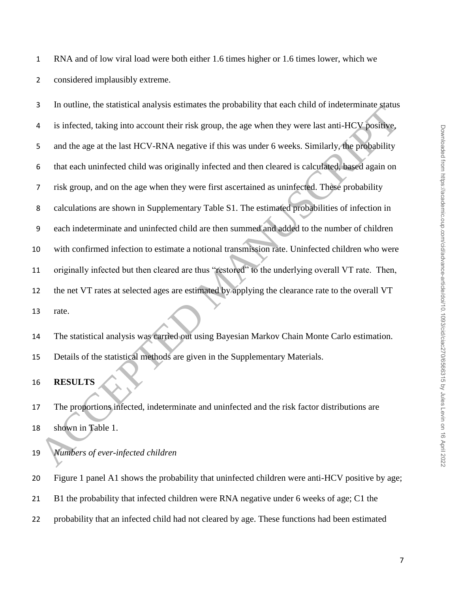RNA and of low viral load were both either 1.6 times higher or 1.6 times lower, which we considered implausibly extreme.

 In outline, the statistical analysis estimates the probability that each child of indeterminate status is infected, taking into account their risk group, the age when they were last anti-HCV positive, and the age at the last HCV-RNA negative if this was under 6 weeks. Similarly, the probability that each uninfected child was originally infected and then cleared is calculated, based again on risk group, and on the age when they were first ascertained as uninfected. These probability calculations are shown in Supplementary Table S1. The estimated probabilities of infection in each indeterminate and uninfected child are then summed and added to the number of children with confirmed infection to estimate a notional transmission rate. Uninfected children who were originally infected but then cleared are thus "restored" to the underlying overall VT rate. Then, the net VT rates at selected ages are estimated by applying the clearance rate to the overall VT rate. ACCEPTED MANUSCRIPTION CONTENT THE SUPPORTED THE SUPPORTED THE SUPPORTED THE SUPPORTED THE SUPPORTED THE SUPPORTED MANUSCRIPTION (SO THE SUPPORTED MANUSCRIPTION OF THE SUPPORTED MANUSCRIPTION OF THE SUPPORTED MANUSCRIPTION

 The statistical analysis was carried out using Bayesian Markov Chain Monte Carlo estimation. Details of the statistical methods are given in the Supplementary Materials.

**RESULTS**

 The proportions infected, indeterminate and uninfected and the risk factor distributions are shown in Table 1.

*Numbers of ever-infected children*

Figure 1 panel A1 shows the probability that uninfected children were anti-HCV positive by age;

- B1 the probability that infected children were RNA negative under 6 weeks of age; C1 the
- probability that an infected child had not cleared by age. These functions had been estimated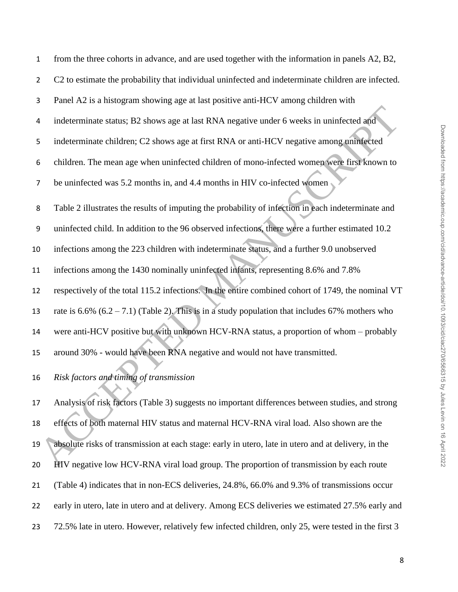| $\mathbf{1}$     | from the three cohorts in advance, and are used together with the information in panels A2, B2,      |
|------------------|------------------------------------------------------------------------------------------------------|
| $\overline{2}$   | C2 to estimate the probability that individual uninfected and indeterminate children are infected.   |
| 3                | Panel A2 is a histogram showing age at last positive anti-HCV among children with                    |
| 4                | indeterminate status; B2 shows age at last RNA negative under 6 weeks in uninfected and              |
| 5                | indeterminate children; C2 shows age at first RNA or anti-HCV negative among uninfected              |
| 6                | children. The mean age when uninfected children of mono-infected women were first known to           |
| $\overline{7}$   | be uninfected was 5.2 months in, and 4.4 months in HIV co-infected women                             |
| 8                | Table 2 illustrates the results of imputing the probability of infection in each indeterminate and   |
| $\boldsymbol{9}$ | uninfected child. In addition to the 96 observed infections, there were a further estimated 10.2     |
| 10               | infections among the 223 children with indeterminate status, and a further 9.0 unobserved            |
| 11               | infections among the 1430 nominally uninfected infants, representing 8.6% and 7.8%                   |
| 12               | respectively of the total 115.2 infections. In the entire combined cohort of 1749, the nominal VT    |
| 13               | rate is $6.6\%$ $(6.2 - 7.1)$ (Table 2). This is in a study population that includes 67% mothers who |
| 14               | were anti-HCV positive but with unknown HCV-RNA status, a proportion of whom - probably              |
| 15               | around 30% - would have been RNA negative and would not have transmitted.                            |
| 16               | Risk factors and timing of transmission                                                              |
| 17               | Analysis of risk factors (Table 3) suggests no important differences between studies, and strong     |
| 18               | effects of both maternal HIV status and maternal HCV-RNA viral load. Also shown are the              |
| 19               | absolute risks of transmission at each stage: early in utero, late in utero and at delivery, in the  |
| 20               | HIV negative low HCV-RNA viral load group. The proportion of transmission by each route              |

 Analysis of risk factors (Table 3) suggests no important differences between studies, and strong effects of both maternal HIV status and maternal HCV-RNA viral load. Also shown are the absolute risks of transmission at each stage: early in utero, late in utero and at delivery, in the HIV negative low HCV-RNA viral load group. The proportion of transmission by each route (Table 4) indicates that in non-ECS deliveries, 24.8%, 66.0% and 9.3% of transmissions occur early in utero, late in utero and at delivery. Among ECS deliveries we estimated 27.5% early and 72.5% late in utero. However, relatively few infected children, only 25, were tested in the first 3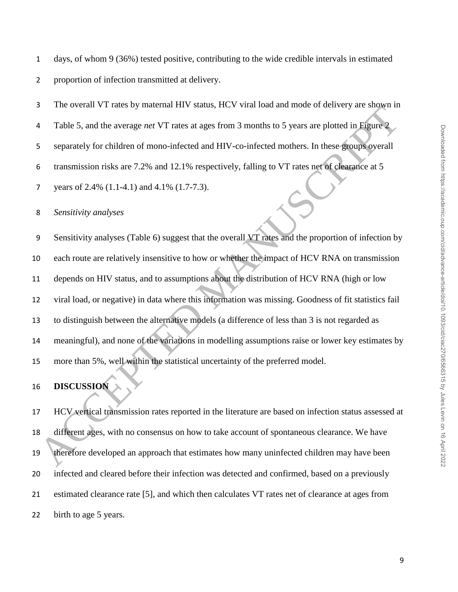days, of whom 9 (36%) tested positive, contributing to the wide credible intervals in estimated

proportion of infection transmitted at delivery.

The overall VT rates by maternal HIV status, HCV viral load and mode of delivery are shown in

Table 5, and the average *net* VT rates at ages from 3 months to 5 years are plotted in Figure 2

separately for children of mono-infected and HIV-co-infected mothers. In these groups overall

transmission risks are 7.2% and 12.1% respectively, falling to VT rates net of clearance at 5

years of 2.4% (1.1-4.1) and 4.1% (1.7-7.3).

*Sensitivity analyses*

 Sensitivity analyses (Table 6) suggest that the overall VT rates and the proportion of infection by each route are relatively insensitive to how or whether the impact of HCV RNA on transmission depends on HIV status, and to assumptions about the distribution of HCV RNA (high or low viral load, or negative) in data where this information was missing. Goodness of fit statistics fail to distinguish between the alternative models (a difference of less than 3 is not regarded as meaningful), and none of the variations in modelling assumptions raise or lower key estimates by more than 5%, well within the statistical uncertainty of the preferred model. The overall v F races by material TIV status, I.C. v viral road and into the developed in Halbe S, and the average net VT rates at ages from 3 months to 5 years are plotted in Eigure 2<br>
separately for children of mono-infe

## **DISCUSSION**

 HCV vertical transmission rates reported in the literature are based on infection status assessed at different ages, with no consensus on how to take account of spontaneous clearance. We have therefore developed an approach that estimates how many uninfected children may have been infected and cleared before their infection was detected and confirmed, based on a previously estimated clearance rate [5], and which then calculates VT rates net of clearance at ages from 22 birth to age 5 years.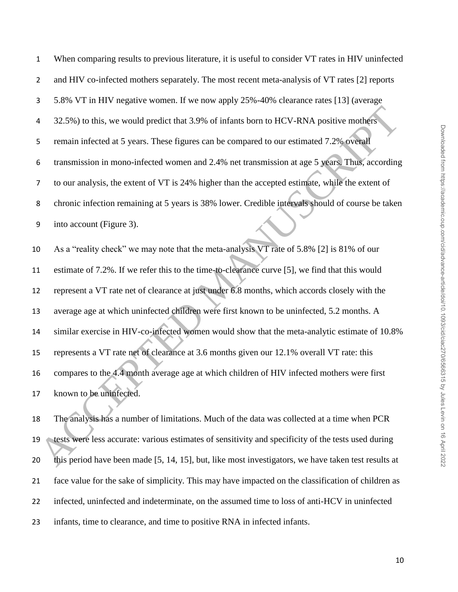When comparing results to previous literature, it is useful to consider VT rates in HIV uninfected and HIV co-infected mothers separately. The most recent meta-analysis of VT rates [2] reports 5.8% VT in HIV negative women. If we now apply 25%-40% clearance rates [13] (average 32.5%) to this, we would predict that 3.9% of infants born to HCV-RNA positive mothers remain infected at 5 years. These figures can be compared to our estimated 7.2% overall transmission in mono-infected women and 2.4% net transmission at age 5 years. Thus, according to our analysis, the extent of VT is 24% higher than the accepted estimate, while the extent of chronic infection remaining at 5 years is 38% lower. Credible intervals should of course be taken into account (Figure 3). As a "reality check" we may note that the meta-analysis VT rate of 5.8% [2] is 81% of our 12.5%) to this, we would predict that 3.9% of infants born to HCV-RNA positive mothers<br>
5 remain infected at 5 years. These figures can be compared to our estimated 7.2% overall<br>
6 transmission in mono-infected women and 2

 estimate of 7.2%. If we refer this to the time-to-clearance curve [5], we find that this would represent a VT rate net of clearance at just under 6.8 months, which accords closely with the average age at which uninfected children were first known to be uninfected, 5.2 months. A similar exercise in HIV-co-infected women would show that the meta-analytic estimate of 10.8% represents a VT rate net of clearance at 3.6 months given our 12.1% overall VT rate: this compares to the 4.4 month average age at which children of HIV infected mothers were first known to be uninfected.

 The analysis has a number of limitations. Much of the data was collected at a time when PCR tests were less accurate: various estimates of sensitivity and specificity of the tests used during this period have been made [5, 14, 15], but, like most investigators, we have taken test results at face value for the sake of simplicity. This may have impacted on the classification of children as infected, uninfected and indeterminate, on the assumed time to loss of anti-HCV in uninfected infants, time to clearance, and time to positive RNA in infected infants.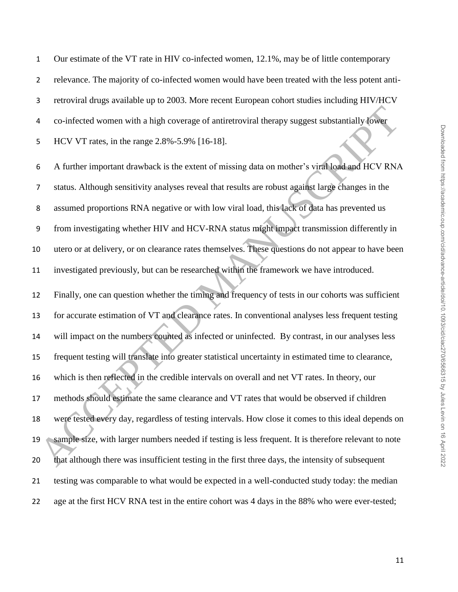Our estimate of the VT rate in HIV co-infected women, 12.1%, may be of little contemporary relevance. The majority of co-infected women would have been treated with the less potent anti- retroviral drugs available up to 2003. More recent European cohort studies including HIV/HCV co-infected women with a high coverage of antiretroviral therapy suggest substantially lower HCV VT rates, in the range 2.8%-5.9% [16-18].

 A further important drawback is the extent of missing data on mother's viral load and HCV RNA status. Although sensitivity analyses reveal that results are robust against large changes in the assumed proportions RNA negative or with low viral load, this lack of data has prevented us from investigating whether HIV and HCV-RNA status might impact transmission differently in utero or at delivery, or on clearance rates themselves. These questions do not appear to have been investigated previously, but can be researched within the framework we have introduced.

 Finally, one can question whether the timing and frequency of tests in our cohorts was sufficient for accurate estimation of VT and clearance rates. In conventional analyses less frequent testing will impact on the numbers counted as infected or uninfected. By contrast, in our analyses less frequent testing will translate into greater statistical uncertainty in estimated time to clearance, which is then reflected in the credible intervals on overall and net VT rates. In theory, our methods should estimate the same clearance and VT rates that would be observed if children were tested every day, regardless of testing intervals. How close it comes to this ideal depends on 19 sample size, with larger numbers needed if testing is less frequent. It is therefore relevant to note that although there was insufficient testing in the first three days, the intensity of subsequent testing was comparable to what would be expected in a well-conducted study today: the median age at the first HCV RNA test in the entire cohort was 4 days in the 88% who were ever-tested; 4 co-infected women with a high coverage of antiretroviral therapy suggest substantially fower<br>
5 HCV VT rates, in the range 2.8%-5.9% [16-18].<br>
6 A further important drawback is the extent of missing data on mother's vira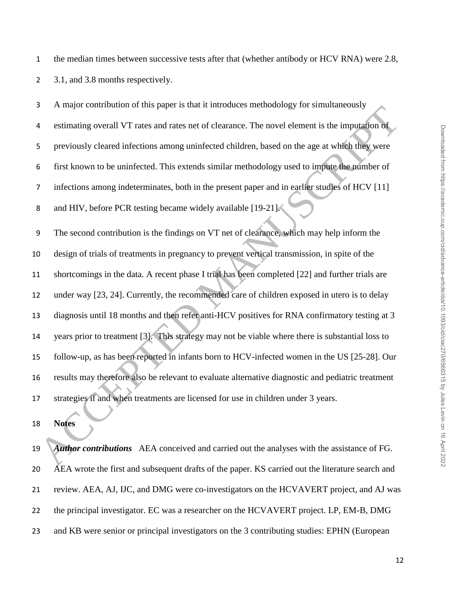1 the median times between successive tests after that (whether antibody or HCV RNA) were 2.8,

2 3.1, and 3.8 months respectively.

 A major contribution of this paper is that it introduces methodology for simultaneously estimating overall VT rates and rates net of clearance. The novel element is the imputation of previously cleared infections among uninfected children, based on the age at which they were first known to be uninfected. This extends similar methodology used to impute the number of infections among indeterminates, both in the present paper and in earlier studies of HCV [11] 8 and HIV, before PCR testing became widely available [19-21].

 The second contribution is the findings on VT net of clearance, which may help inform the design of trials of treatments in pregnancy to prevent vertical transmission, in spite of the shortcomings in the data. A recent phase I trial has been completed [22] and further trials are under way [23, 24]. Currently, the recommended care of children exposed in utero is to delay diagnosis until 18 months and then refer anti-HCV positives for RNA confirmatory testing at 3 years prior to treatment [3]. This strategy may not be viable where there is substantial loss to follow-up, as has been reported in infants born to HCV-infected women in the US [25-28]. Our results may therefore also be relevant to evaluate alternative diagnostic and pediatric treatment strategies if and when treatments are licensed for use in children under 3 years. Accelerating of the contribution of the space is then the manded to the manifold of the section of the space of the space of the space of the space of the space of the space of the space of the space of the space of the sp

**Notes**

 *Author contributions* AEA conceived and carried out the analyses with the assistance of FG. AEA wrote the first and subsequent drafts of the paper. KS carried out the literature search and review. AEA, AJ, IJC, and DMG were co-investigators on the HCVAVERT project, and AJ was the principal investigator. EC was a researcher on the HCVAVERT project. LP, EM-B, DMG and KB were senior or principal investigators on the 3 contributing studies: EPHN (European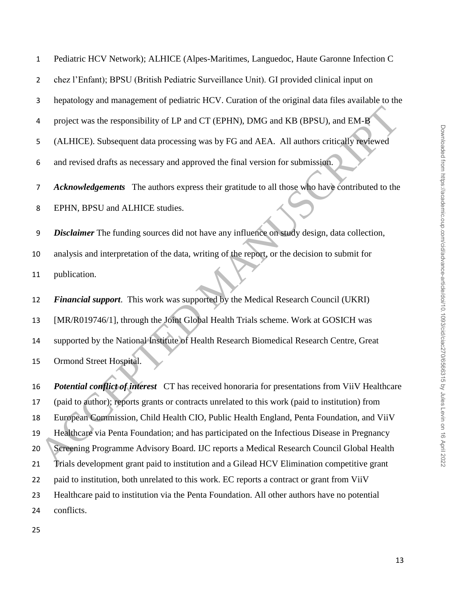Pediatric HCV Network); ALHICE (Alpes-Maritimes, Languedoc, Haute Garonne Infection C

chez l'Enfant); BPSU (British Pediatric Surveillance Unit). GI provided clinical input on

hepatology and management of pediatric HCV. Curation of the original data files available to the

project was the responsibility of LP and CT (EPHN), DMG and KB (BPSU), and EM-B

(ALHICE). Subsequent data processing was by FG and AEA. All authors critically reviewed

and revised drafts as necessary and approved the final version for submission.

*Acknowledgements* The authors express their gratitude to all those who have contributed to the

EPHN, BPSU and ALHICE studies.

 *Disclaimer* The funding sources did not have any influence on study design, data collection, analysis and interpretation of the data, writing of the report, or the decision to submit for publication.

 *Financial support*. This work was supported by the Medical Research Council (UKRI) [MR/R019746/1], through the Joint Global Health Trials scheme. Work at GOSICH was supported by the National Institute of Health Research Biomedical Research Centre, Great Ormond Street Hospital.

 *Potential conflict of interest* CT has received honoraria for presentations from ViiV Healthcare (paid to author); reports grants or contracts unrelated to this work (paid to institution) from European Commission, Child Health CIO, Public Health England, Penta Foundation, and ViiV Healthcare via Penta Foundation; and has participated on the Infectious Disease in Pregnancy Screening Programme Advisory Board. IJC reports a Medical Research Council Global Health Trials development grant paid to institution and a Gilead HCV Elimination competitive grant 22 paid to institution, both unrelated to this work. EC reports a contract or grant from ViiV Healthcare paid to institution via the Penta Foundation. All other authors have no potential conflicts. Transfer the responsibility of LP and CT (EPHN), DMG and KB (BPSU), and EM-B<br>
(ALHICH). Subsequent data processing was by FG and AEA. All authors critically reviewed<br>
and revised drafts as necessary and approved the final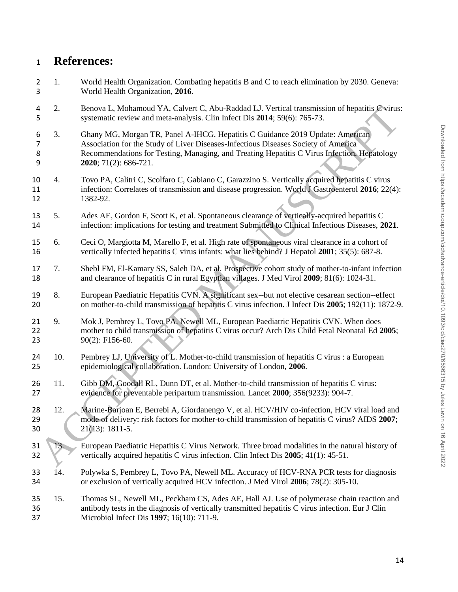# **References:**

| $\overline{2}$<br>3           | 1.  | World Health Organization. Combating hepatitis B and C to reach elimination by 2030. Geneva:<br>World Health Organization, 2016.                                                                                                                                                            |
|-------------------------------|-----|---------------------------------------------------------------------------------------------------------------------------------------------------------------------------------------------------------------------------------------------------------------------------------------------|
| 4<br>5                        | 2.  | Benova L, Mohamoud YA, Calvert C, Abu-Raddad LJ. Vertical transmission of hepatitis C virus:<br>systematic review and meta-analysis. Clin Infect Dis 2014; 59(6): 765-73.                                                                                                                   |
| 6<br>$\overline{7}$<br>8<br>9 | 3.  | Ghany MG, Morgan TR, Panel A-IHCG. Hepatitis C Guidance 2019 Update: American<br>Association for the Study of Liver Diseases-Infectious Diseases Society of America<br>Recommendations for Testing, Managing, and Treating Hepatitis C Virus Infection. Hepatology<br>2020; 71(2): 686-721. |
| 10<br>11<br>12                | 4.  | Tovo PA, Calitri C, Scolfaro C, Gabiano C, Garazzino S. Vertically acquired hepatitis C virus<br>infection: Correlates of transmission and disease progression. World J Gastroenterol 2016; 22(4):<br>1382-92.                                                                              |
| 13<br>14                      | 5.  | Ades AE, Gordon F, Scott K, et al. Spontaneous clearance of vertically-acquired hepatitis C<br>infection: implications for testing and treatment Submitted to Clinical Infectious Diseases, 2021.                                                                                           |
| 15<br>16                      | 6.  | Ceci O, Margiotta M, Marello F, et al. High rate of spontaneous viral clearance in a cohort of<br>vertically infected hepatitis C virus infants: what lies behind? J Hepatol 2001; 35(5): 687-8.                                                                                            |
| 17<br>18                      | 7.  | Shebl FM, El-Kamary SS, Saleh DA, et al. Prospective cohort study of mother-to-infant infection<br>and clearance of hepatitis C in rural Egyptian villages. J Med Virol 2009; 81(6): 1024-31.                                                                                               |
| 19<br>20                      | 8.  | European Paediatric Hepatitis CVN. A significant sex--but not elective cesarean section--effect<br>on mother-to-child transmission of hepatitis C virus infection. J Infect Dis 2005; 192(11): 1872-9.                                                                                      |
| 21<br>22<br>23                | 9.  | Mok J, Pembrey L, Tovo PA, Newell ML, European Paediatric Hepatitis CVN. When does<br>mother to child transmission of hepatitis C virus occur? Arch Dis Child Fetal Neonatal Ed 2005;<br>90(2): F156-60.                                                                                    |
| 24<br>25                      | 10. | Pembrey LJ, University of L. Mother-to-child transmission of hepatitis C virus : a European<br>epidemiological collaboration. London: University of London, 2006.                                                                                                                           |
| 26<br>27                      | 11. | Gibb DM, Goodall RL, Dunn DT, et al. Mother-to-child transmission of hepatitis C virus:<br>evidence for preventable peripartum transmission. Lancet 2000; 356(9233): 904-7.                                                                                                                 |
| 28<br>29<br>30                | 12. | Marine-Barjoan E, Berrebi A, Giordanengo V, et al. HCV/HIV co-infection, HCV viral load and<br>mode of delivery: risk factors for mother-to-child transmission of hepatitis C virus? AIDS 2007;<br>$21(13): 1811-5.$                                                                        |
| 31<br>32                      | 13. | European Paediatric Hepatitis C Virus Network. Three broad modalities in the natural history of<br>vertically acquired hepatitis C virus infection. Clin Infect Dis 2005; 41(1): 45-51.                                                                                                     |
| 33<br>34                      | 14. | Polywka S, Pembrey L, Tovo PA, Newell ML. Accuracy of HCV-RNA PCR tests for diagnosis<br>or exclusion of vertically acquired HCV infection. J Med Virol 2006; 78(2): 305-10.                                                                                                                |
| 35<br>36<br>37                | 15. | Thomas SL, Newell ML, Peckham CS, Ades AE, Hall AJ. Use of polymerase chain reaction and<br>antibody tests in the diagnosis of vertically transmitted hepatitis C virus infection. Eur J Clin<br>Microbiol Infect Dis 1997; 16(10): 711-9.                                                  |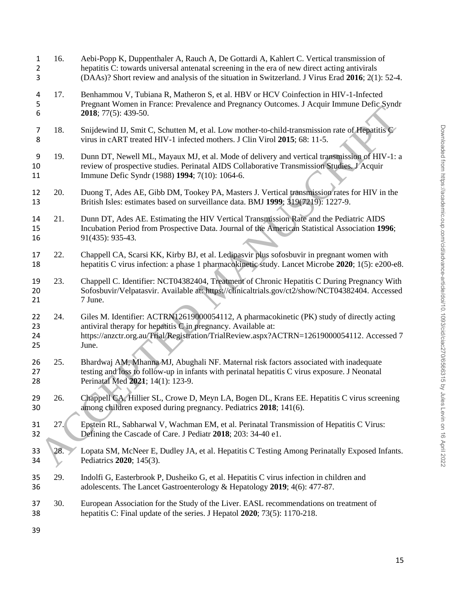| 1<br>$\overline{2}$<br>3 | 16. | Aebi-Popp K, Duppenthaler A, Rauch A, De Gottardi A, Kahlert C. Vertical transmission of<br>hepatitis C: towards universal antenatal screening in the era of new direct acting antivirals<br>(DAAs)? Short review and analysis of the situation in Switzerland. J Virus Erad 2016; 2(1): 52-4. |
|--------------------------|-----|------------------------------------------------------------------------------------------------------------------------------------------------------------------------------------------------------------------------------------------------------------------------------------------------|
| 4<br>5<br>6              | 17. | Benhammou V, Tubiana R, Matheron S, et al. HBV or HCV Coinfection in HIV-1-Infected<br>Pregnant Women in France: Prevalence and Pregnancy Outcomes. J Acquir Immune Defic Syndr<br><b>2018</b> ; 77(5): 439-50.                                                                                |
| 7<br>8                   | 18. | Snijdewind IJ, Smit C, Schutten M, et al. Low mother-to-child-transmission rate of Hepatitis C<br>virus in cART treated HIV-1 infected mothers. J Clin Virol 2015; 68: 11-5.                                                                                                                   |
| 9<br>10<br>11            | 19. | Dunn DT, Newell ML, Mayaux MJ, et al. Mode of delivery and vertical transmission of HIV-1: a<br>review of prospective studies. Perinatal AIDS Collaborative Transmission Studies. J'Acquir<br>Immune Defic Syndr (1988) 1994; 7(10): 1064-6.                                                   |
| 12<br>13                 | 20. | Duong T, Ades AE, Gibb DM, Tookey PA, Masters J. Vertical transmission rates for HIV in the<br>British Isles: estimates based on surveillance data. BMJ 1999; 319(7219): 1227-9.                                                                                                               |
| 14<br>15<br>16           | 21. | Dunn DT, Ades AE. Estimating the HIV Vertical Transmission Rate and the Pediatric AIDS<br>Incubation Period from Prospective Data. Journal of the American Statistical Association 1996;<br>91(435): 935-43.                                                                                   |
| 17<br>18                 | 22. | Chappell CA, Scarsi KK, Kirby BJ, et al. Ledipasvir plus sofosbuvir in pregnant women with<br>hepatitis C virus infection: a phase 1 pharmacokinetic study. Lancet Microbe 2020; 1(5): e200-e8.                                                                                                |
| 19<br>20<br>21           | 23. | Chappell C. Identifier: NCT04382404, Treatment of Chronic Hepatitis C During Pregnancy With<br>Sofosbuvir/Velpatasvir. Available at: https://clinicaltrials.gov/ct2/show/NCT04382404. Accessed<br>7 June.                                                                                      |
| 22<br>23<br>24<br>25     | 24. | Giles M. Identifier: ACTRN12619000054112, A pharmacokinetic (PK) study of directly acting<br>antiviral therapy for hepatitis C in pregnancy. Available at:<br>https://anzctr.org.au/Trial/Registration/TrialReview.aspx?ACTRN=12619000054112. Accessed 7<br>June.                              |
| 26<br>27<br>28           | 25. | Bhardwaj AM, Mhanna MJ, Abughali NF. Maternal risk factors associated with inadequate<br>testing and loss to follow-up in infants with perinatal hepatitis C virus exposure. J Neonatal<br>Perinatal Med 2021; 14(1): 123-9.                                                                   |
| 29<br>30                 | 26. | Chappell CA, Hillier SL, Crowe D, Meyn LA, Bogen DL, Krans EE. Hepatitis C virus screening<br>among children exposed during pregnancy. Pediatrics 2018; 141(6).                                                                                                                                |
| 31<br>32                 | 27. | Epstein RL, Sabharwal V, Wachman EM, et al. Perinatal Transmission of Hepatitis C Virus:<br>Defining the Cascade of Care. J Pediatr 2018; 203: 34-40 e1.                                                                                                                                       |
| 33<br>34                 | 28. | Lopata SM, McNeer E, Dudley JA, et al. Hepatitis C Testing Among Perinatally Exposed Infants.<br>Pediatrics 2020; 145(3).                                                                                                                                                                      |
| 35<br>36                 | 29. | Indolfi G, Easterbrook P, Dusheiko G, et al. Hepatitis C virus infection in children and<br>adolescents. The Lancet Gastroenterology & Hepatology 2019; 4(6): 477-87.                                                                                                                          |
| 37<br>38                 | 30. | European Association for the Study of the Liver. EASL recommendations on treatment of<br>hepatitis C: Final update of the series. J Hepatol 2020; 73(5): 1170-218.                                                                                                                             |
| 39                       |     |                                                                                                                                                                                                                                                                                                |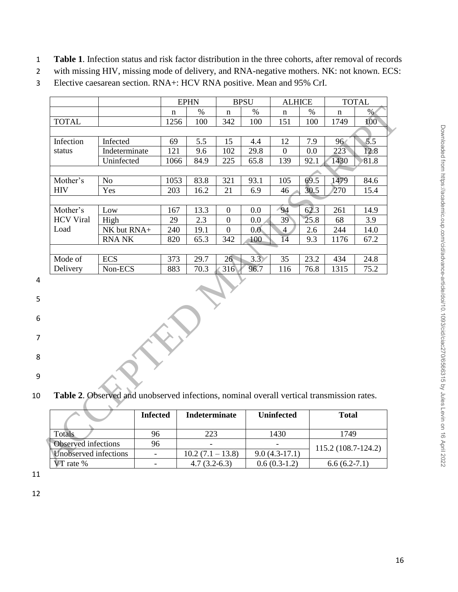- 1 **Table 1**. Infection status and risk factor distribution in the three cohorts, after removal of records
- 2 with missing HIV, missing mode of delivery, and RNA-negative mothers. NK: not known. ECS:
- 3 Elective caesarean section. RNA+: HCV RNA positive. Mean and 95% CrI.

|                       |                                                                                           |                          | <b>EPHN</b> |      |                      | <b>BPSU</b> | <b>ALHICE</b>     |      |                     | <b>TOTAL</b> |
|-----------------------|-------------------------------------------------------------------------------------------|--------------------------|-------------|------|----------------------|-------------|-------------------|------|---------------------|--------------|
|                       |                                                                                           | $\mathbf n$              |             | $\%$ | $\mathbf n$          | $\%$        | n                 | $\%$ | $\mathbf n$         | %            |
| <b>TOTAL</b>          |                                                                                           | 1256                     |             | 100  | 342                  | 100         | 151               | 100  | 1749                | 100          |
|                       |                                                                                           |                          |             |      |                      |             |                   |      |                     |              |
| Infection             | Infected                                                                                  | 69                       |             | 5.5  | 15                   | 4.4         | 12                | 7.9  | 96                  | 5.5          |
| status                | Indeterminate                                                                             | 121                      |             | 9.6  | 102                  | 29.8        | $\boldsymbol{0}$  | 0.0  | 223                 | 12.8         |
|                       | Uninfected                                                                                | 1066                     |             | 84.9 | 225                  | 65.8        | 139               | 92.1 | 1430                | 81.8         |
|                       |                                                                                           |                          |             |      |                      |             |                   |      |                     |              |
| Mother's              | N <sub>o</sub>                                                                            | 1053                     |             | 83.8 | 321                  | 93.1        | 105               | 69.5 | 1479                | 84.6         |
| <b>HIV</b>            | Yes                                                                                       | 203                      |             | 16.2 | 21                   | 6.9         | 46                | 30.5 | 270                 | 15.4         |
|                       |                                                                                           |                          |             |      |                      |             |                   |      |                     |              |
| Mother's              | Low                                                                                       | 167                      |             | 13.3 | $\boldsymbol{0}$     | 0.0         | 94                | 62.3 | 261                 | 14.9         |
| <b>HCV Viral</b>      | High                                                                                      | 29                       |             | 2.3  | $\overline{0}$       | 0.0         | 39                | 25.8 | 68                  | 3.9          |
| Load                  | NK but RNA+                                                                               | 240                      |             | 19.1 | $\overline{0}$       | 0.0         | $\overline{4}$    | 2.6  | 244                 | 14.0         |
|                       | <b>RNA NK</b>                                                                             | 820                      |             | 65.3 | 342                  | 100         | $\overline{14}$   | 9.3  | 1176                | 67.2         |
|                       |                                                                                           |                          |             |      |                      |             |                   |      |                     |              |
| Mode of               | <b>ECS</b>                                                                                | 373                      |             | 29.7 | 26 <sup>°</sup>      | 3.3         | 35                | 23.2 | 434                 | 24.8         |
| Delivery              | Non-ECS                                                                                   | 883                      |             | 70.3 | 316                  | 96.7        | 116               | 76.8 | 1315                | 75.2         |
|                       | Table 2. Observed and unobserved infections, nominal overall vertical transmission rates. |                          |             |      |                      |             |                   |      |                     |              |
|                       |                                                                                           | <b>Infected</b>          |             |      | <b>Indeterminate</b> |             | <b>Uninfected</b> |      | <b>Total</b>        |              |
|                       |                                                                                           |                          |             |      |                      |             |                   |      |                     |              |
| <b>Totals</b>         |                                                                                           | 96                       |             | 223  |                      |             | 1430              |      | 1749                |              |
| Observed infections   |                                                                                           | 96                       |             |      |                      |             |                   |      |                     |              |
| Unobserved infections |                                                                                           | $\overline{\phantom{a}}$ |             |      | $10.2 (7.1 - 13.8)$  |             | $9.0(4.3-17.1)$   |      | 115.2 (108.7-124.2) |              |
| VT rate %             |                                                                                           |                          |             |      |                      |             |                   |      |                     |              |

4

5

6

7 8

- 9
- 10 **Table 2**. Observed and unobserved infections, nominal overall vertical transmission rates.

|                       | <b>Infected</b> | <b>Indeterminate</b> | <b>Uninfected</b> | <b>Total</b>         |
|-----------------------|-----------------|----------------------|-------------------|----------------------|
| Totals                | 96              | 223                  | 1430              | 1749                 |
| Observed infections   | 96              | -                    |                   | $115.2(108.7-124.2)$ |
| Unobserved infections |                 | $10.2(7.1 - 13.8)$   | $9.0(4.3-17.1)$   |                      |
| VT rate %             |                 | $4.7(3.2-6.3)$       | $0.6(0.3-1.2)$    | $6.6(6.2-7.1)$       |

11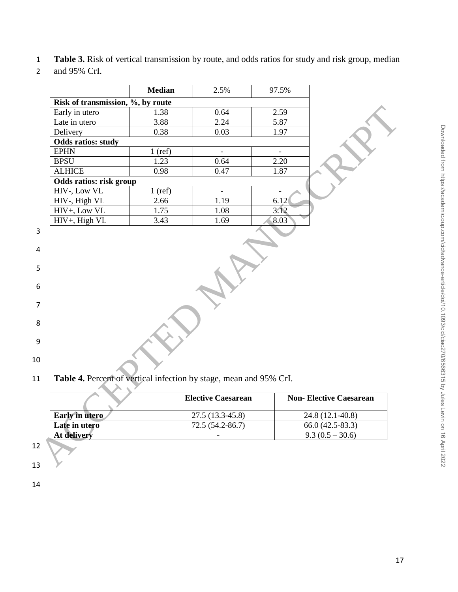## 2 and 95% CrI.

|                                   | <b>Median</b> | 2.5%                                                                                            | 97.5%                    |                                      |
|-----------------------------------|---------------|-------------------------------------------------------------------------------------------------|--------------------------|--------------------------------------|
|                                   |               |                                                                                                 |                          |                                      |
| Risk of transmission, %, by route |               |                                                                                                 | 2.59                     |                                      |
| Early in utero                    | 1.38          | 0.64<br>2.24                                                                                    |                          |                                      |
| Late in utero                     | 3.88          |                                                                                                 | 5.87                     |                                      |
| Delivery                          | 0.38          | 0.03                                                                                            | 1.97                     |                                      |
| <b>Odds ratios: study</b>         |               |                                                                                                 | $\overline{\phantom{a}}$ |                                      |
| <b>EPHN</b>                       | $1$ (ref)     | $\equiv$                                                                                        |                          |                                      |
| <b>BPSU</b>                       | 1.23          | 0.64                                                                                            | 2.20                     |                                      |
| <b>ALHICE</b>                     | 0.98          | 0.47                                                                                            | 1.87                     |                                      |
| Odds ratios: risk group           |               |                                                                                                 |                          |                                      |
| HIV-, Low VL                      | $1$ (ref)     | $\blacksquare$                                                                                  | $\overline{\phantom{a}}$ |                                      |
| HIV-, High VL                     | 2.66          | 1.19                                                                                            | 6.12                     |                                      |
| HIV+, Low VL                      | 1.75          | 1.08                                                                                            | 3.12                     |                                      |
| HIV+, High VL                     | 3.43          | 1.69                                                                                            | 8.03                     |                                      |
|                                   |               |                                                                                                 |                          |                                      |
|                                   |               |                                                                                                 |                          |                                      |
|                                   |               | Table 4. Percent of vertical infection by stage, mean and 95% CrI.<br><b>Elective Caesarean</b> |                          | <b>Non-Elective Caesarean</b>        |
|                                   |               |                                                                                                 |                          |                                      |
| Early in utero<br>Late in utero   |               | 27.5 (13.3-45.8)<br>72.5 (54.2-86.7)                                                            |                          | 24.8 (12.1-40.8)<br>66.0 (42.5-83.3) |

|                | <b>Elective Caesarean</b> | <b>Non-Elective Caesarean</b> |
|----------------|---------------------------|-------------------------------|
| Early in utero | 27.5 (13.3-45.8)          | 24.8 (12.1-40.8)              |
| Late in utero  | 72.5 (54.2-86.7)          | $66.0(42.5-83.3)$             |
| At delivery    |                           | $9.3(0.5 - 30.6)$             |
|                |                           |                               |

- 12 13
- 14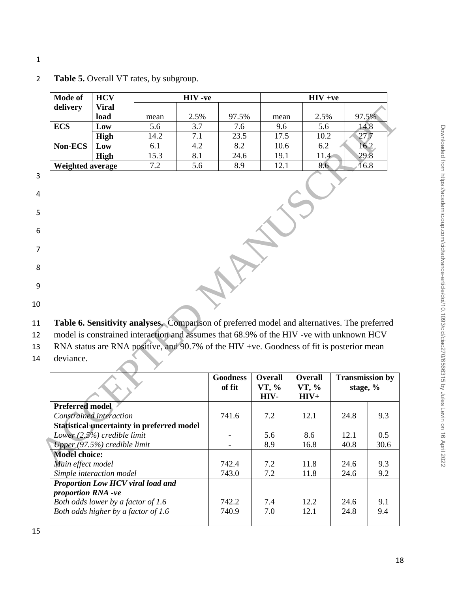1

| <b>Mode of</b>         | <b>HCV</b>                     |                                                                                              | HIV-ve | $HIV +ve$                 |                                 |                                   |                                      |       |
|------------------------|--------------------------------|----------------------------------------------------------------------------------------------|--------|---------------------------|---------------------------------|-----------------------------------|--------------------------------------|-------|
| delivery               | <b>Viral</b>                   |                                                                                              |        |                           |                                 |                                   |                                      |       |
|                        | load                           | mean                                                                                         | 2.5%   | 97.5%                     | mean                            | 2.5%                              |                                      | 97.5% |
| <b>ECS</b>             | Low                            | 5.6                                                                                          | 3.7    | 7.6                       | 9.6                             | 5.6                               |                                      | 14.8  |
|                        | High                           | 14.2                                                                                         | 7.1    | 23.5                      | 17.5                            | 10.2                              |                                      | 27.7  |
| Non-ECS                | Low                            | 6.1                                                                                          | 4.2    | 8.2                       | 10.6                            | 6.2                               |                                      | 16.2  |
|                        | High                           | 15.3                                                                                         | 8.1    | 24.6                      | 19.1                            | 11.4                              |                                      | 29.8  |
| Weighted average       |                                | 7.2                                                                                          | 5.6    | 8.9                       | 12.1                            | 8.6                               |                                      | 16.8  |
|                        |                                | Table 6. Sensitivity analyses. Comparison of preferred model and alternatives. The preferred |        |                           |                                 |                                   |                                      |       |
|                        |                                | model is constrained interaction and assumes that 68.9% of the HIV -ve with unknown HCV      |        |                           |                                 |                                   |                                      |       |
|                        |                                |                                                                                              |        |                           |                                 |                                   |                                      |       |
|                        |                                | RNA status are RNA positive, and 90.7% of the HIV +ve. Goodness of fit is posterior mean     |        |                           |                                 |                                   |                                      |       |
| deviance.              |                                |                                                                                              |        |                           |                                 |                                   |                                      |       |
|                        |                                |                                                                                              |        | <b>Goodness</b><br>of fit | <b>Overall</b><br>VT, %<br>HIV- | <b>Overall</b><br>VT, %<br>$HIV+$ | <b>Transmission by</b><br>stage, $%$ |       |
| <b>Preferred model</b> |                                |                                                                                              |        |                           |                                 |                                   |                                      |       |
|                        | Constrained interaction        |                                                                                              |        | 741.6                     | 7.2                             | 12.1                              | 24.8                                 | 9.3   |
|                        |                                | <b>Statistical uncertainty in preferred model</b>                                            |        |                           |                                 |                                   |                                      |       |
|                        | Lower $(2.5\%)$ credible limit |                                                                                              |        |                           | 5.6                             | 8.6                               | 12.1                                 | 0.5   |
|                        | Upper (97.5%) credible limit   |                                                                                              |        |                           | 8.9                             | 16.8                              | 40.8                                 | 30.6  |
| <b>Model choice:</b>   |                                |                                                                                              |        |                           |                                 |                                   |                                      |       |
| Main effect model      |                                |                                                                                              |        | 742.4                     | 7.2                             | 11.8                              | 24.6                                 | 9.3   |

## 2 **Table 5.** Overall VT rates, by subgroup.

|                                                         | <b>Goodness</b><br>of fit | <b>Overall</b><br>VT, %<br>HIV- | <b>Overall</b><br>VT, %<br>$HIV+$ | <b>Transmission by</b><br>stage, $%$ |      |
|---------------------------------------------------------|---------------------------|---------------------------------|-----------------------------------|--------------------------------------|------|
| <b>Preferred model</b>                                  |                           |                                 |                                   |                                      |      |
| Constrained interaction                                 | 741.6                     | 7.2                             | 12.1                              | 24.8                                 | 9.3  |
| <b>Statistical uncertainty in preferred model</b>       |                           |                                 |                                   |                                      |      |
| Lower $(2.5\%)$ credible limit                          |                           | 5.6                             | 8.6                               | 12.1                                 | 0.5  |
| Upper (97.5%) credible limit                            |                           | 8.9                             | 16.8                              | 40.8                                 | 30.6 |
| <b>Model choice:</b>                                    |                           |                                 |                                   |                                      |      |
| Main effect model                                       | 742.4                     | 7.2                             | 11.8                              | 24.6                                 | 9.3  |
| Simple interaction model                                | 743.0                     | 7.2                             | 11.8                              | 24.6                                 | 9.2  |
| Proportion Low HCV viral load and<br>proportion RNA -ve |                           |                                 |                                   |                                      |      |
| Both odds lower by a factor of 1.6                      | 742.2                     | 7.4                             | 12.2                              | 24.6                                 | 9.1  |
| Both odds higher by a factor of 1.6                     | 740.9                     | 7.0                             | 12.1                              | 24.8                                 | 9.4  |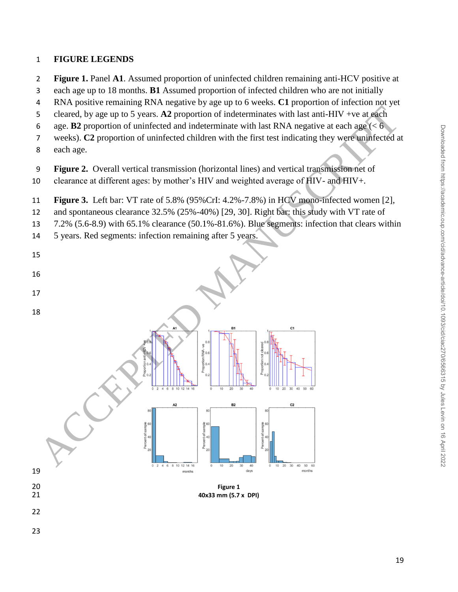## **FIGURE LEGENDS**

- **Figure 1.** Panel **A1**. Assumed proportion of uninfected children remaining anti-HCV positive at
- each age up to 18 months. **B1** Assumed proportion of infected children who are not initially
- RNA positive remaining RNA negative by age up to 6 weeks. **C1** proportion of infection not yet
- cleared, by age up to 5 years. **A2** proportion of indeterminates with last anti-HIV +ve at each
- 6 age. **B2** proportion of uninfected and indeterminate with last RNA negative at each age  $(< 6$
- weeks). **C2** proportion of uninfected children with the first test indicating they were uninfected at
- each age.

- **Figure 2.** Overall vertical transmission (horizontal lines) and vertical transmission net of
- clearance at different ages: by mother's HIV and weighted average of HIV- and HIV+.
- **Figure 3.** Left bar: VT rate of 5.8% (95%CrI: 4.2%-7.8%) in HCV mono-infected women [2],
- and spontaneous clearance 32.5% (25%-40%) [29, 30]. Right bar: this study with VT rate of
- 7.2% (5.6-8.9) with 65.1% clearance (50.1%-81.6%). Blue segments: infection that clears within
- 5 years. Red segments: infection remaining after 5 years.



**40x33 mm (5.7 x DPI)**

- 
-